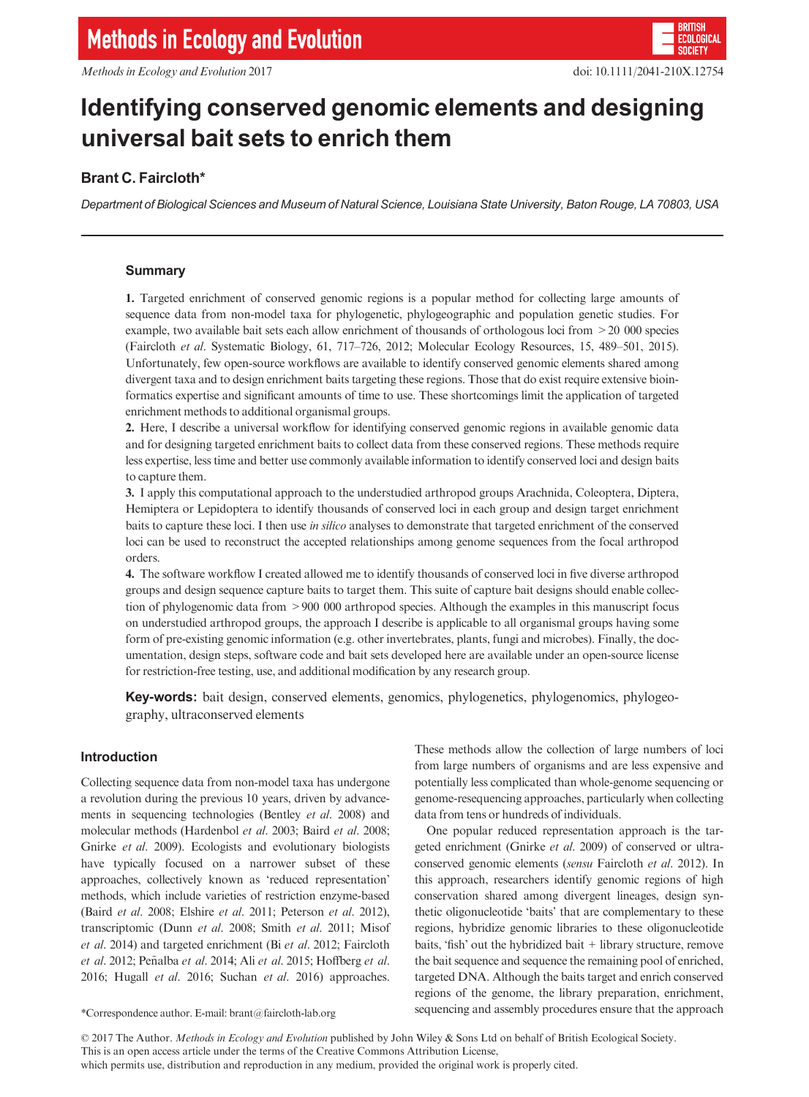

# Identifying conserved genomic elements and designing universal bait sets to enrich them

# Brant C. Faircloth\*

Department of Biological Sciences and Museum of Natural Science, Louisiana State University, Baton Rouge, LA 70803, USA

# Summary

1. Targeted enrichment of conserved genomic regions is a popular method for collecting large amounts of sequence data from non-model taxa for phylogenetic, phylogeographic and population genetic studies. For example, two available bait sets each allow enrichment of thousands of orthologous loci from >20 000 species (Faircloth et al. Systematic Biology, 61, 717–726, 2012; Molecular Ecology Resources, 15, 489–501, 2015). Unfortunately, few open-source workflows are available to identify conserved genomic elements shared among divergent taxa and to design enrichment baits targeting these regions. Those that do exist require extensive bioinformatics expertise and significant amounts of time to use. These shortcomings limit the application of targeted enrichment methods to additional organismal groups.

2. Here, I describe a universal workflow for identifying conserved genomic regions in available genomic data and for designing targeted enrichment baits to collect data from these conserved regions. These methods require less expertise, less time and better use commonly available information to identify conserved loci and design baits to capture them.

3. I apply this computational approach to the understudied arthropod groups Arachnida, Coleoptera, Diptera, Hemiptera or Lepidoptera to identify thousands of conserved loci in each group and design target enrichment baits to capture these loci. I then use in silico analyses to demonstrate that targeted enrichment of the conserved loci can be used to reconstruct the accepted relationships among genome sequences from the focal arthropod orders.

4. The software workflow I created allowed me to identify thousands of conserved loci in five diverse arthropod groups and design sequence capture baits to target them. This suite of capture bait designs should enable collection of phylogenomic data from >900 000 arthropod species. Although the examples in this manuscript focus on understudied arthropod groups, the approach I describe is applicable to all organismal groups having some form of pre-existing genomic information (e.g. other invertebrates, plants, fungi and microbes). Finally, the documentation, design steps, software code and bait sets developed here are available under an open-source license for restriction-free testing, use, and additional modification by any research group.

Key-words: bait design, conserved elements, genomics, phylogenetics, phylogenomics, phylogeography, ultraconserved elements

# Introduction

Collecting sequence data from non-model taxa has undergone a revolution during the previous 10 years, driven by advancements in sequencing technologies (Bentley et al. 2008) and molecular methods (Hardenbol et al. 2003; Baird et al. 2008; Gnirke et al. 2009). Ecologists and evolutionary biologists have typically focused on a narrower subset of these approaches, collectively known as 'reduced representation' methods, which include varieties of restriction enzyme-based (Baird et al. 2008; Elshire et al. 2011; Peterson et al. 2012), transcriptomic (Dunn et al. 2008; Smith et al. 2011; Misof et al. 2014) and targeted enrichment (Bi et al. 2012; Faircloth et al. 2012; Peñalba et al. 2014; Ali et al. 2015; Hoffberg et al. 2016; Hugall et al. 2016; Suchan et al. 2016) approaches.

These methods allow the collection of large numbers of loci from large numbers of organisms and are less expensive and potentially less complicated than whole-genome sequencing or genome-resequencing approaches, particularly when collecting data from tens or hundreds of individuals.

One popular reduced representation approach is the targeted enrichment (Gnirke et al. 2009) of conserved or ultraconserved genomic elements (sensu Faircloth et al. 2012). In this approach, researchers identify genomic regions of high conservation shared among divergent lineages, design synthetic oligonucleotide 'baits' that are complementary to these regions, hybridize genomic libraries to these oligonucleotide baits, 'fish' out the hybridized bait + library structure, remove the bait sequence and sequence the remaining pool of enriched, targeted DNA. Although the baits target and enrich conserved regions of the genome, the library preparation, enrichment, sequencing and assembly procedures ensure that the approach \*Correspondence author. E-mail: brant@faircloth-lab.org

© 2017 The Author. Methods in Ecology and Evolution published by John Wiley & Sons Ltd on behalf of British Ecological Society. This is an open access article under the terms of the [Creative Commons Attribution](http://creativecommons.org/licenses/by/4.0/) License, which permits use, distribution and reproduction in any medium, provided the original work is properly cited.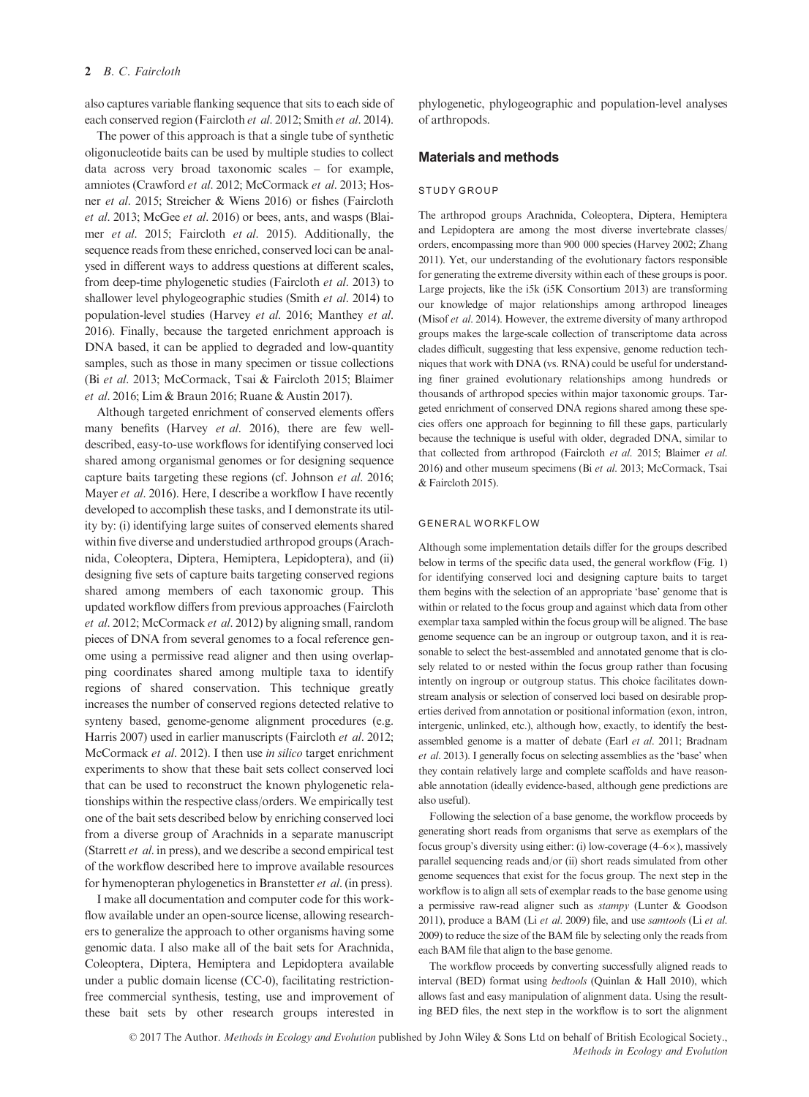# 2 B. C. Faircloth

also captures variable flanking sequence that sits to each side of each conserved region (Faircloth et al. 2012; Smith et al. 2014).

The power of this approach is that a single tube of synthetic oligonucleotide baits can be used by multiple studies to collect data across very broad taxonomic scales – for example, amniotes (Crawford et al. 2012; McCormack et al. 2013; Hosner et al. 2015; Streicher & Wiens 2016) or fishes (Faircloth et al. 2013; McGee et al. 2016) or bees, ants, and wasps (Blaimer et al. 2015; Faircloth et al. 2015). Additionally, the sequence reads from these enriched, conserved loci can be analysed in different ways to address questions at different scales, from deep-time phylogenetic studies (Faircloth et al. 2013) to shallower level phylogeographic studies (Smith et al. 2014) to population-level studies (Harvey et al. 2016; Manthey et al. 2016). Finally, because the targeted enrichment approach is DNA based, it can be applied to degraded and low-quantity samples, such as those in many specimen or tissue collections (Bi et al. 2013; McCormack, Tsai & Faircloth 2015; Blaimer et al. 2016; Lim & Braun 2016; Ruane & Austin 2017).

Although targeted enrichment of conserved elements offers many benefits (Harvey et al. 2016), there are few welldescribed, easy-to-use workflows for identifying conserved loci shared among organismal genomes or for designing sequence capture baits targeting these regions (cf. Johnson et al. 2016; Mayer et al. 2016). Here, I describe a workflow I have recently developed to accomplish these tasks, and I demonstrate its utility by: (i) identifying large suites of conserved elements shared within five diverse and understudied arthropod groups (Arachnida, Coleoptera, Diptera, Hemiptera, Lepidoptera), and (ii) designing five sets of capture baits targeting conserved regions shared among members of each taxonomic group. This updated workflow differs from previous approaches (Faircloth et al. 2012; McCormack et al. 2012) by aligning small, random pieces of DNA from several genomes to a focal reference genome using a permissive read aligner and then using overlapping coordinates shared among multiple taxa to identify regions of shared conservation. This technique greatly increases the number of conserved regions detected relative to synteny based, genome-genome alignment procedures (e.g. Harris 2007) used in earlier manuscripts (Faircloth et al. 2012; McCormack et al. 2012). I then use in silico target enrichment experiments to show that these bait sets collect conserved loci that can be used to reconstruct the known phylogenetic relationships within the respective class/orders. We empirically test one of the bait sets described below by enriching conserved loci from a diverse group of Arachnids in a separate manuscript (Starrett et al. in press), and we describe a second empirical test of the workflow described here to improve available resources for hymenopteran phylogenetics in Branstetter et al. (in press).

I make all documentation and computer code for this workflow available under an open-source license, allowing researchers to generalize the approach to other organisms having some genomic data. I also make all of the bait sets for Arachnida, Coleoptera, Diptera, Hemiptera and Lepidoptera available under a public domain license (CC-0), facilitating restrictionfree commercial synthesis, testing, use and improvement of these bait sets by other research groups interested in phylogenetic, phylogeographic and population-level analyses of arthropods.

# Materials and methods

#### STUDY GROUP

The arthropod groups Arachnida, Coleoptera, Diptera, Hemiptera and Lepidoptera are among the most diverse invertebrate classes/ orders, encompassing more than 900 000 species (Harvey 2002; Zhang 2011). Yet, our understanding of the evolutionary factors responsible for generating the extreme diversity within each of these groups is poor. Large projects, like the i5k (i5K Consortium 2013) are transforming our knowledge of major relationships among arthropod lineages (Misof et al. 2014). However, the extreme diversity of many arthropod groups makes the large-scale collection of transcriptome data across clades difficult, suggesting that less expensive, genome reduction techniques that work with DNA (vs. RNA) could be useful for understanding finer grained evolutionary relationships among hundreds or thousands of arthropod species within major taxonomic groups. Targeted enrichment of conserved DNA regions shared among these species offers one approach for beginning to fill these gaps, particularly because the technique is useful with older, degraded DNA, similar to that collected from arthropod (Faircloth et al. 2015; Blaimer et al. 2016) and other museum specimens (Bi et al. 2013; McCormack, Tsai & Faircloth 2015).

#### GENERAL WORKFLOW

Although some implementation details differ for the groups described below in terms of the specific data used, the general workflow (Fig. 1) for identifying conserved loci and designing capture baits to target them begins with the selection of an appropriate 'base' genome that is within or related to the focus group and against which data from other exemplar taxa sampled within the focus group will be aligned. The base genome sequence can be an ingroup or outgroup taxon, and it is reasonable to select the best-assembled and annotated genome that is closely related to or nested within the focus group rather than focusing intently on ingroup or outgroup status. This choice facilitates downstream analysis or selection of conserved loci based on desirable properties derived from annotation or positional information (exon, intron, intergenic, unlinked, etc.), although how, exactly, to identify the bestassembled genome is a matter of debate (Earl et al. 2011; Bradnam et al. 2013). I generally focus on selecting assemblies as the 'base' when they contain relatively large and complete scaffolds and have reasonable annotation (ideally evidence-based, although gene predictions are also useful).

Following the selection of a base genome, the workflow proceeds by generating short reads from organisms that serve as exemplars of the focus group's diversity using either: (i) low-coverage  $(4-6\times)$ , massively parallel sequencing reads and/or (ii) short reads simulated from other genome sequences that exist for the focus group. The next step in the workflow is to align all sets of exemplar reads to the base genome using a permissive raw-read aligner such as stampy (Lunter & Goodson 2011), produce a BAM (Li et al. 2009) file, and use samtools (Li et al. 2009) to reduce the size of the BAM file by selecting only the reads from each BAM file that align to the base genome.

The workflow proceeds by converting successfully aligned reads to interval (BED) format using bedtools (Quinlan & Hall 2010), which allows fast and easy manipulation of alignment data. Using the resulting BED files, the next step in the workflow is to sort the alignment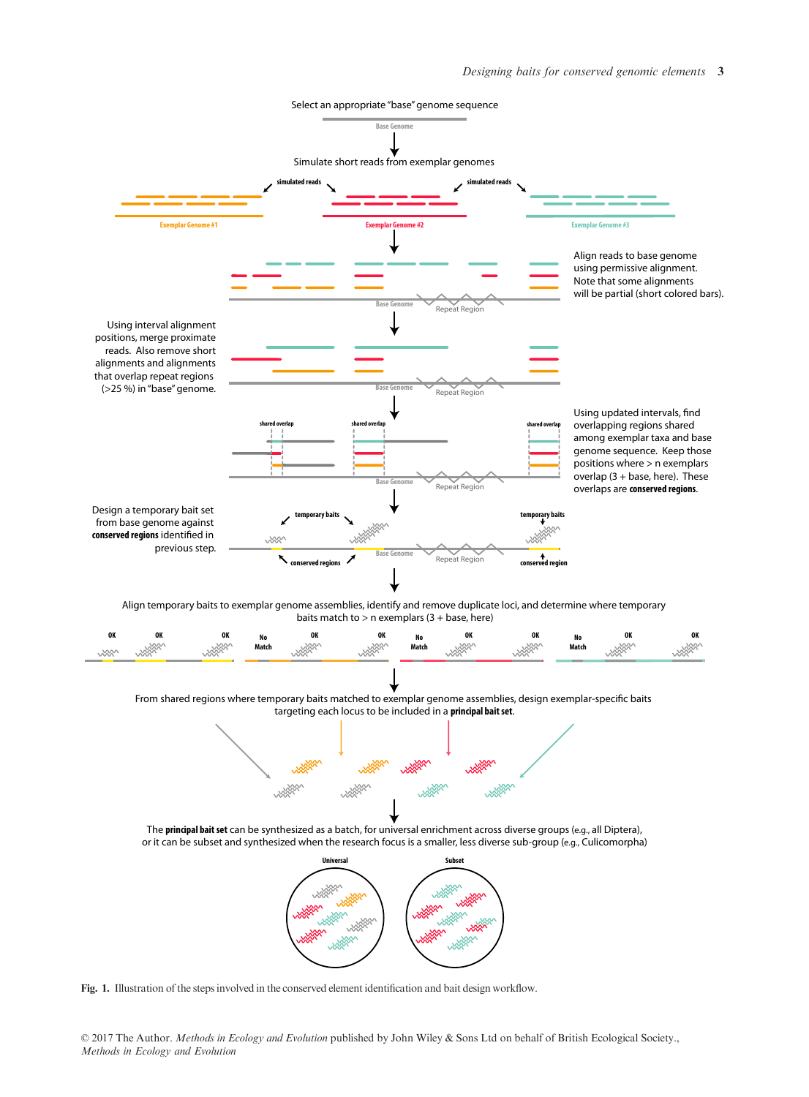

Fig. 1. Illustration of the steps involved in the conserved element identification and bait design workflow.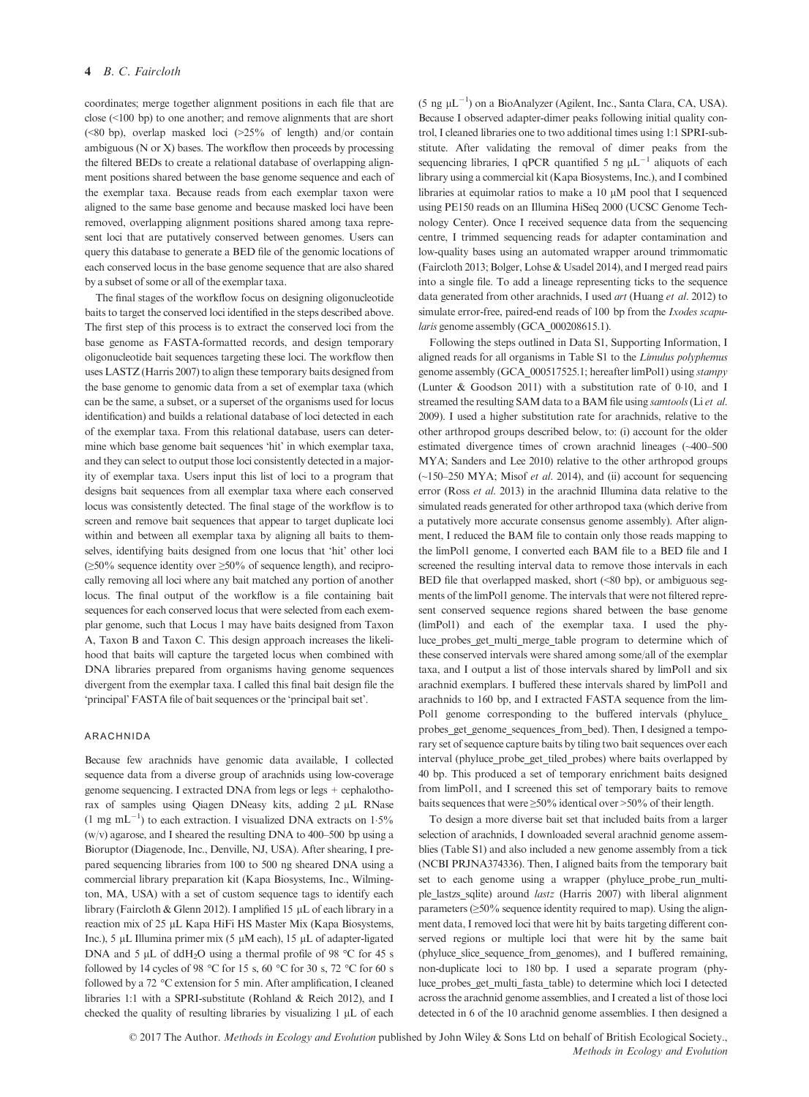coordinates; merge together alignment positions in each file that are close (<100 bp) to one another; and remove alignments that are short (<80 bp), overlap masked loci (>25% of length) and/or contain ambiguous ( $N$  or  $X$ ) bases. The workflow then proceeds by processing the filtered BEDs to create a relational database of overlapping alignment positions shared between the base genome sequence and each of the exemplar taxa. Because reads from each exemplar taxon were aligned to the same base genome and because masked loci have been removed, overlapping alignment positions shared among taxa represent loci that are putatively conserved between genomes. Users can query this database to generate a BED file of the genomic locations of each conserved locus in the base genome sequence that are also shared by a subset of some or all of the exemplar taxa.

The final stages of the workflow focus on designing oligonucleotide baits to target the conserved loci identified in the steps described above. The first step of this process is to extract the conserved loci from the base genome as FASTA-formatted records, and design temporary oligonucleotide bait sequences targeting these loci. The workflow then uses LASTZ (Harris 2007) to align these temporary baits designed from the base genome to genomic data from a set of exemplar taxa (which can be the same, a subset, or a superset of the organisms used for locus identification) and builds a relational database of loci detected in each of the exemplar taxa. From this relational database, users can determine which base genome bait sequences 'hit' in which exemplar taxa, and they can select to output those loci consistently detected in a majority of exemplar taxa. Users input this list of loci to a program that designs bait sequences from all exemplar taxa where each conserved locus was consistently detected. The final stage of the workflow is to screen and remove bait sequences that appear to target duplicate loci within and between all exemplar taxa by aligning all baits to themselves, identifying baits designed from one locus that 'hit' other loci  $(\geq 50\%$  sequence identity over  $\geq 50\%$  of sequence length), and reciprocally removing all loci where any bait matched any portion of another locus. The final output of the workflow is a file containing bait sequences for each conserved locus that were selected from each exemplar genome, such that Locus 1 may have baits designed from Taxon A, Taxon B and Taxon C. This design approach increases the likelihood that baits will capture the targeted locus when combined with DNA libraries prepared from organisms having genome sequences divergent from the exemplar taxa. I called this final bait design file the 'principal' FASTA file of bait sequences or the 'principal bait set'.

## ARACHNIDA

Because few arachnids have genomic data available, I collected sequence data from a diverse group of arachnids using low-coverage genome sequencing. I extracted DNA from legs or legs + cephalothorax of samples using Qiagen DNeasy kits, adding 2 µL RNase  $(1 \text{ mg } \text{mL}^{-1})$  to each extraction. I visualized DNA extracts on 1.5%  $(w/v)$  agarose, and I sheared the resulting DNA to 400–500 bp using a Bioruptor (Diagenode, Inc., Denville, NJ, USA). After shearing, I prepared sequencing libraries from 100 to 500 ng sheared DNA using a commercial library preparation kit (Kapa Biosystems, Inc., Wilmington, MA, USA) with a set of custom sequence tags to identify each library (Faircloth & Glenn 2012). I amplified 15  $\mu$ L of each library in a reaction mix of 25 µL Kapa HiFi HS Master Mix (Kapa Biosystems, Inc.), 5  $\mu$ L Illumina primer mix (5  $\mu$ M each), 15  $\mu$ L of adapter-ligated DNA and 5  $\mu$ L of ddH<sub>2</sub>O using a thermal profile of 98 °C for 45 s followed by 14 cycles of 98 °C for 15 s, 60 °C for 30 s, 72 °C for 60 s followed by a 72 °C extension for 5 min. After amplification, I cleaned libraries 1:1 with a SPRI-substitute (Rohland & Reich 2012), and I checked the quality of resulting libraries by visualizing  $1 \mu L$  of each

(5 ng  $\mu L^{-1}$ ) on a BioAnalyzer (Agilent, Inc., Santa Clara, CA, USA). Because I observed adapter-dimer peaks following initial quality control, I cleaned libraries one to two additional times using 1:1 SPRI-substitute. After validating the removal of dimer peaks from the sequencing libraries, I qPCR quantified 5 ng  $\mu L^{-1}$  aliquots of each library using a commercial kit (Kapa Biosystems, Inc.), and I combined libraries at equimolar ratios to make a  $10 \mu M$  pool that I sequenced using PE150 reads on an Illumina HiSeq 2000 (UCSC Genome Technology Center). Once I received sequence data from the sequencing centre, I trimmed sequencing reads for adapter contamination and low-quality bases using an automated wrapper around trimmomatic (Faircloth 2013; Bolger, Lohse & Usadel 2014), and I merged read pairs into a single file. To add a lineage representing ticks to the sequence data generated from other arachnids, I used art (Huang et al. 2012) to simulate error-free, paired-end reads of 100 bp from the *Ixodes scapu*laris genome assembly (GCA 000208615.1).

Following the steps outlined in Data S1, Supporting Information, I aligned reads for all organisms in Table S1 to the Limulus polyphemus genome assembly (GCA\_000517525.1; hereafter limPol1) using stampy (Lunter & Goodson 2011) with a substitution rate of 010, and I streamed the resulting SAM data to a BAM file using *samtools* (Li et al. 2009). I used a higher substitution rate for arachnids, relative to the other arthropod groups described below, to: (i) account for the older estimated divergence times of crown arachnid lineages (~400–500 MYA; Sanders and Lee 2010) relative to the other arthropod groups  $(\sim] 50 - 250$  MYA; Misof *et al.* 2014), and (ii) account for sequencing error (Ross et al. 2013) in the arachnid Illumina data relative to the simulated reads generated for other arthropod taxa (which derive from a putatively more accurate consensus genome assembly). After alignment, I reduced the BAM file to contain only those reads mapping to the limPol1 genome, I converted each BAM file to a BED file and I screened the resulting interval data to remove those intervals in each BED file that overlapped masked, short  $(\leq 80$  bp), or ambiguous segments of the limPol1 genome. The intervals that were not filtered represent conserved sequence regions shared between the base genome (limPol1) and each of the exemplar taxa. I used the phyluce\_probes\_get\_multi\_merge\_table program to determine which of these conserved intervals were shared among some/all of the exemplar taxa, and I output a list of those intervals shared by limPol1 and six arachnid exemplars. I buffered these intervals shared by limPol1 and arachnids to 160 bp, and I extracted FASTA sequence from the lim-Pol1 genome corresponding to the buffered intervals (phyluce\_ probes\_get\_genome\_sequences\_from\_bed). Then, I designed a temporary set of sequence capture baits by tiling two bait sequences over each interval (phyluce probe get tiled probes) where baits overlapped by 40 bp. This produced a set of temporary enrichment baits designed from limPol1, and I screened this set of temporary baits to remove baits sequences that were ≥50% identical over >50% of their length.

To design a more diverse bait set that included baits from a larger selection of arachnids, I downloaded several arachnid genome assemblies (Table S1) and also included a new genome assembly from a tick (NCBI PRJNA374336). Then, I aligned baits from the temporary bait set to each genome using a wrapper (phyluce\_probe\_run\_multiple\_lastzs\_sqlite) around lastz (Harris 2007) with liberal alignment parameters (≥50% sequence identity required to map). Using the alignment data, I removed loci that were hit by baits targeting different conserved regions or multiple loci that were hit by the same bait (phyluce\_slice\_sequence\_from\_genomes), and I buffered remaining, non-duplicate loci to 180 bp. I used a separate program (phyluce\_probes\_get\_multi\_fasta\_table) to determine which loci I detected across the arachnid genome assemblies, and I created a list of those loci detected in 6 of the 10 arachnid genome assemblies. I then designed a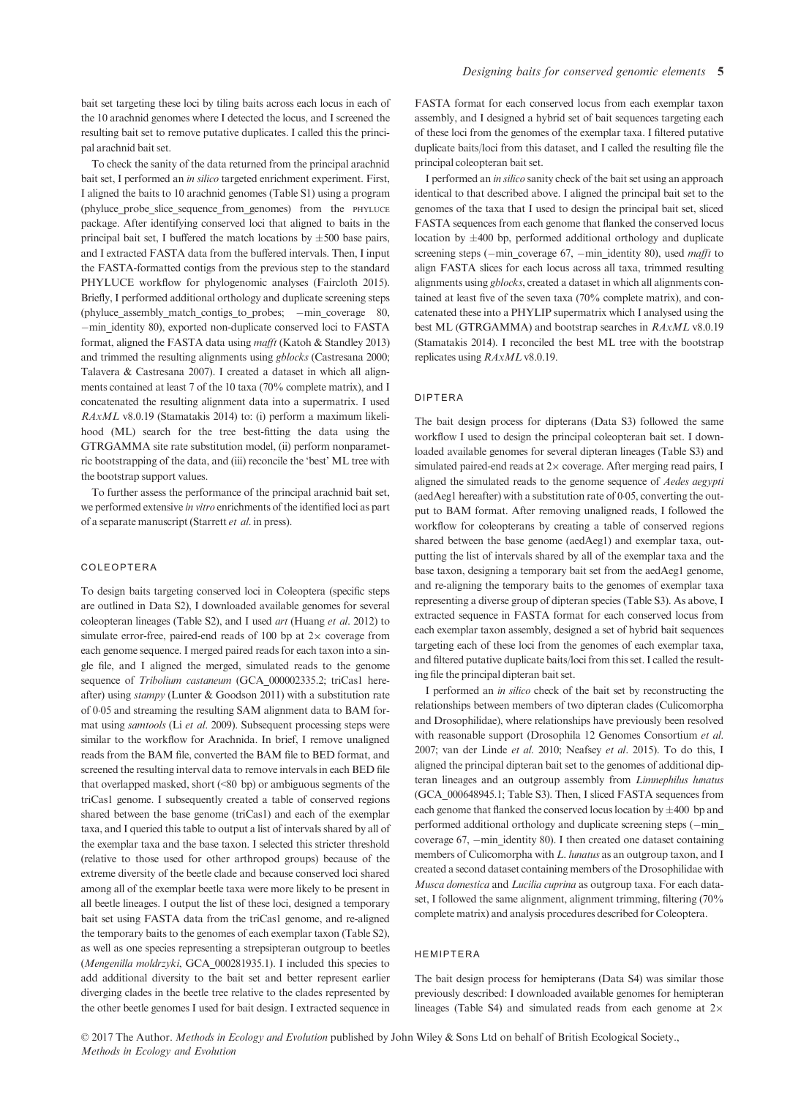bait set targeting these loci by tiling baits across each locus in each of the 10 arachnid genomes where I detected the locus, and I screened the resulting bait set to remove putative duplicates. I called this the principal arachnid bait set.

To check the sanity of the data returned from the principal arachnid bait set, I performed an in silico targeted enrichment experiment. First, I aligned the baits to 10 arachnid genomes (Table S1) using a program (phyluce probe slice sequence from genomes) from the PHYLUCE package. After identifying conserved loci that aligned to baits in the principal bait set, I buffered the match locations by  $\pm 500$  base pairs, and I extracted FASTA data from the buffered intervals. Then, I input the FASTA-formatted contigs from the previous step to the standard PHYLUCE workflow for phylogenomic analyses (Faircloth 2015). Briefly, I performed additional orthology and duplicate screening steps (phyluce\_assembly\_match\_contigs\_to\_probes; -min\_coverage 80, -min identity 80), exported non-duplicate conserved loci to FASTA format, aligned the FASTA data using mafft (Katoh & Standley 2013) and trimmed the resulting alignments using gblocks (Castresana 2000; Talavera & Castresana 2007). I created a dataset in which all alignments contained at least 7 of the 10 taxa (70% complete matrix), and I concatenated the resulting alignment data into a supermatrix. I used RAxML v8.0.19 (Stamatakis 2014) to: (i) perform a maximum likelihood (ML) search for the tree best-fitting the data using the GTRGAMMA site rate substitution model, (ii) perform nonparametric bootstrapping of the data, and (iii) reconcile the 'best' ML tree with the bootstrap support values.

To further assess the performance of the principal arachnid bait set, we performed extensive in vitro enrichments of the identified loci as part of a separate manuscript (Starrett et al. in press).

#### COLEOPTERA

To design baits targeting conserved loci in Coleoptera (specific steps are outlined in Data S2), I downloaded available genomes for several coleopteran lineages (Table S2), and I used art (Huang et al. 2012) to simulate error-free, paired-end reads of 100 bp at  $2\times$  coverage from each genome sequence. I merged paired reads for each taxon into a single file, and I aligned the merged, simulated reads to the genome sequence of Tribolium castaneum (GCA\_000002335.2; triCas1 hereafter) using stampy (Lunter & Goodson 2011) with a substitution rate of 005 and streaming the resulting SAM alignment data to BAM format using samtools (Li et al. 2009). Subsequent processing steps were similar to the workflow for Arachnida. In brief, I remove unaligned reads from the BAM file, converted the BAM file to BED format, and screened the resulting interval data to remove intervals in each BED file that overlapped masked, short (<80 bp) or ambiguous segments of the triCas1 genome. I subsequently created a table of conserved regions shared between the base genome (triCas1) and each of the exemplar taxa, and I queried this table to output a list of intervals shared by all of the exemplar taxa and the base taxon. I selected this stricter threshold (relative to those used for other arthropod groups) because of the extreme diversity of the beetle clade and because conserved loci shared among all of the exemplar beetle taxa were more likely to be present in all beetle lineages. I output the list of these loci, designed a temporary bait set using FASTA data from the triCas1 genome, and re-aligned the temporary baits to the genomes of each exemplar taxon (Table S2), as well as one species representing a strepsipteran outgroup to beetles (Mengenilla moldrzyki, GCA\_000281935.1). I included this species to add additional diversity to the bait set and better represent earlier diverging clades in the beetle tree relative to the clades represented by the other beetle genomes I used for bait design. I extracted sequence in FASTA format for each conserved locus from each exemplar taxon assembly, and I designed a hybrid set of bait sequences targeting each of these loci from the genomes of the exemplar taxa. I filtered putative duplicate baits/loci from this dataset, and I called the resulting file the principal coleopteran bait set.

I performed an in silico sanity check of the bait set using an approach identical to that described above. I aligned the principal bait set to the genomes of the taxa that I used to design the principal bait set, sliced FASTA sequences from each genome that flanked the conserved locus location by  $\pm 400$  bp, performed additional orthology and duplicate screening steps ( $-\text{min\_coverage}$  67,  $-\text{min\_identity}$  80), used *mafft* to align FASTA slices for each locus across all taxa, trimmed resulting alignments using gblocks, created a dataset in which all alignments contained at least five of the seven taxa (70% complete matrix), and concatenated these into a PHYLIP supermatrix which I analysed using the best ML (GTRGAMMA) and bootstrap searches in RAxML v8.0.19 (Stamatakis 2014). I reconciled the best ML tree with the bootstrap replicates using RAxML v8.0.19.

#### DIPTERA

The bait design process for dipterans (Data S3) followed the same workflow I used to design the principal coleopteran bait set. I downloaded available genomes for several dipteran lineages (Table S3) and simulated paired-end reads at  $2\times$  coverage. After merging read pairs, I aligned the simulated reads to the genome sequence of Aedes aegypti (aedAeg1 hereafter) with a substitution rate of 005, converting the output to BAM format. After removing unaligned reads, I followed the workflow for coleopterans by creating a table of conserved regions shared between the base genome (aedAeg1) and exemplar taxa, outputting the list of intervals shared by all of the exemplar taxa and the base taxon, designing a temporary bait set from the aedAeg1 genome, and re-aligning the temporary baits to the genomes of exemplar taxa representing a diverse group of dipteran species (Table S3). As above, I extracted sequence in FASTA format for each conserved locus from each exemplar taxon assembly, designed a set of hybrid bait sequences targeting each of these loci from the genomes of each exemplar taxa, and filtered putative duplicate baits/loci from this set. I called the resulting file the principal dipteran bait set.

I performed an in silico check of the bait set by reconstructing the relationships between members of two dipteran clades (Culicomorpha and Drosophilidae), where relationships have previously been resolved with reasonable support (Drosophila 12 Genomes Consortium et al. 2007; van der Linde et al. 2010; Neafsey et al. 2015). To do this, I aligned the principal dipteran bait set to the genomes of additional dipteran lineages and an outgroup assembly from Limnephilus lunatus (GCA\_000648945.1; Table S3). Then, I sliced FASTA sequences from each genome that flanked the conserved locus location by  $\pm 400$  bp and performed additional orthology and duplicate screening steps (-min\_ coverage  $67$ ,  $-\text{min}$  identity 80). I then created one dataset containing members of Culicomorpha with L. lunatus as an outgroup taxon, and I created a second dataset containing members of the Drosophilidae with Musca domestica and Lucilia cuprina as outgroup taxa. For each dataset, I followed the same alignment, alignment trimming, filtering (70% complete matrix) and analysis procedures described for Coleoptera.

#### HEMIPTERA

The bait design process for hemipterans (Data S4) was similar those previously described: I downloaded available genomes for hemipteran lineages (Table S4) and simulated reads from each genome at  $2\times$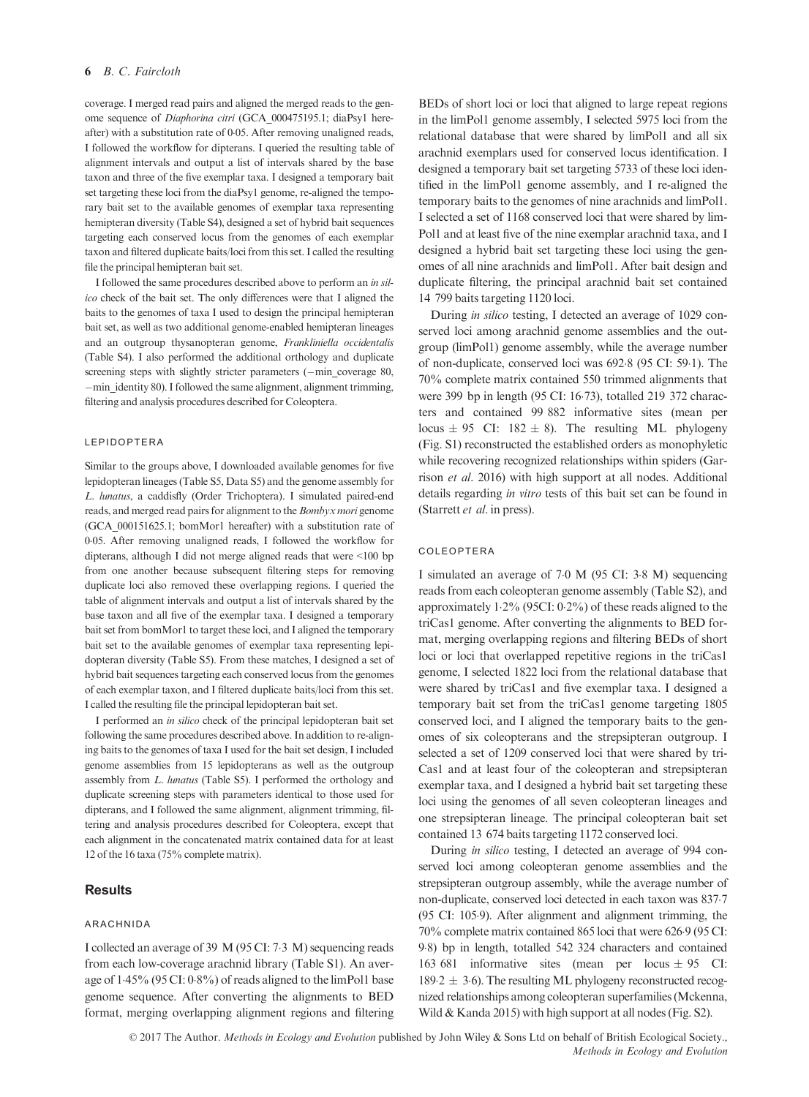coverage. I merged read pairs and aligned the merged reads to the genome sequence of Diaphorina citri (GCA\_000475195.1; diaPsy1 hereafter) with a substitution rate of 005. After removing unaligned reads, I followed the workflow for dipterans. I queried the resulting table of alignment intervals and output a list of intervals shared by the base taxon and three of the five exemplar taxa. I designed a temporary bait set targeting these loci from the diaPsy1 genome, re-aligned the temporary bait set to the available genomes of exemplar taxa representing hemipteran diversity (Table S4), designed a set of hybrid bait sequences targeting each conserved locus from the genomes of each exemplar taxon and filtered duplicate baits/loci from this set. I called the resulting file the principal hemipteran bait set.

I followed the same procedures described above to perform an in silico check of the bait set. The only differences were that I aligned the baits to the genomes of taxa I used to design the principal hemipteran bait set, as well as two additional genome-enabled hemipteran lineages and an outgroup thysanopteran genome, Frankliniella occidentalis (Table S4). I also performed the additional orthology and duplicate screening steps with slightly stricter parameters  $(-\text{min})$  coverage 80, -min identity 80). I followed the same alignment, alignment trimming, filtering and analysis procedures described for Coleoptera.

#### LEPIDOPTERA

Similar to the groups above, I downloaded available genomes for five lepidopteran lineages (Table S5, Data S5) and the genome assembly for L. lunatus, a caddisfly (Order Trichoptera). I simulated paired-end reads, and merged read pairs for alignment to the Bombyx mori genome (GCA\_000151625.1; bomMor1 hereafter) with a substitution rate of 005. After removing unaligned reads, I followed the workflow for dipterans, although I did not merge aligned reads that were <100 bp from one another because subsequent filtering steps for removing duplicate loci also removed these overlapping regions. I queried the table of alignment intervals and output a list of intervals shared by the base taxon and all five of the exemplar taxa. I designed a temporary bait set from bomMor1 to target these loci, and I aligned the temporary bait set to the available genomes of exemplar taxa representing lepidopteran diversity (Table S5). From these matches, I designed a set of hybrid bait sequences targeting each conserved locus from the genomes of each exemplar taxon, and I filtered duplicate baits/loci from this set. I called the resulting file the principal lepidopteran bait set.

I performed an in silico check of the principal lepidopteran bait set following the same procedures described above. In addition to re-aligning baits to the genomes of taxa I used for the bait set design, I included genome assemblies from 15 lepidopterans as well as the outgroup assembly from L. lunatus (Table S5). I performed the orthology and duplicate screening steps with parameters identical to those used for dipterans, and I followed the same alignment, alignment trimming, filtering and analysis procedures described for Coleoptera, except that each alignment in the concatenated matrix contained data for at least 12 of the 16 taxa (75% complete matrix).

# **Results**

## ARACHNIDA

I collected an average of 39 M (95 CI: 73 M) sequencing reads from each low-coverage arachnid library (Table S1). An average of 145% (95 CI: 08%) of reads aligned to the limPol1 base genome sequence. After converting the alignments to BED format, merging overlapping alignment regions and filtering BEDs of short loci or loci that aligned to large repeat regions in the limPol1 genome assembly, I selected 5975 loci from the relational database that were shared by limPol1 and all six arachnid exemplars used for conserved locus identification. I designed a temporary bait set targeting 5733 of these loci identified in the limPol1 genome assembly, and I re-aligned the temporary baits to the genomes of nine arachnids and limPol1. I selected a set of 1168 conserved loci that were shared by lim-Pol1 and at least five of the nine exemplar arachnid taxa, and I designed a hybrid bait set targeting these loci using the genomes of all nine arachnids and limPol1. After bait design and duplicate filtering, the principal arachnid bait set contained 14 799 baits targeting 1120 loci.

During in silico testing, I detected an average of 1029 conserved loci among arachnid genome assemblies and the outgroup (limPol1) genome assembly, while the average number of non-duplicate, conserved loci was 6928 (95 CI: 591). The 70% complete matrix contained 550 trimmed alignments that were 399 bp in length (95 CI: 1673), totalled 219 372 characters and contained 99 882 informative sites (mean per locus  $\pm$  95 CI: 182  $\pm$  8). The resulting ML phylogeny (Fig. S1) reconstructed the established orders as monophyletic while recovering recognized relationships within spiders (Garrison et al. 2016) with high support at all nodes. Additional details regarding in vitro tests of this bait set can be found in (Starrett et al. in press).

#### COLEOPTERA

I simulated an average of 70 M (95 CI: 38 M) sequencing reads from each coleopteran genome assembly (Table S2), and approximately 12% (95CI: 02%) of these reads aligned to the triCas1 genome. After converting the alignments to BED format, merging overlapping regions and filtering BEDs of short loci or loci that overlapped repetitive regions in the triCas1 genome, I selected 1822 loci from the relational database that were shared by triCas1 and five exemplar taxa. I designed a temporary bait set from the triCas1 genome targeting 1805 conserved loci, and I aligned the temporary baits to the genomes of six coleopterans and the strepsipteran outgroup. I selected a set of 1209 conserved loci that were shared by tri-Cas1 and at least four of the coleopteran and strepsipteran exemplar taxa, and I designed a hybrid bait set targeting these loci using the genomes of all seven coleopteran lineages and one strepsipteran lineage. The principal coleopteran bait set contained 13 674 baits targeting 1172 conserved loci.

During in silico testing, I detected an average of 994 conserved loci among coleopteran genome assemblies and the strepsipteran outgroup assembly, while the average number of non-duplicate, conserved loci detected in each taxon was 8377 (95 CI: 1059). After alignment and alignment trimming, the 70% complete matrix contained 865 loci that were 6269 (95 CI: 98) bp in length, totalled 542 324 characters and contained 163 681 informative sites (mean per locus  $\pm$  95 CI: 189.2  $\pm$  3.6). The resulting ML phylogeny reconstructed recognized relationships among coleopteran superfamilies (Mckenna, Wild & Kanda 2015) with high support at all nodes (Fig. S2).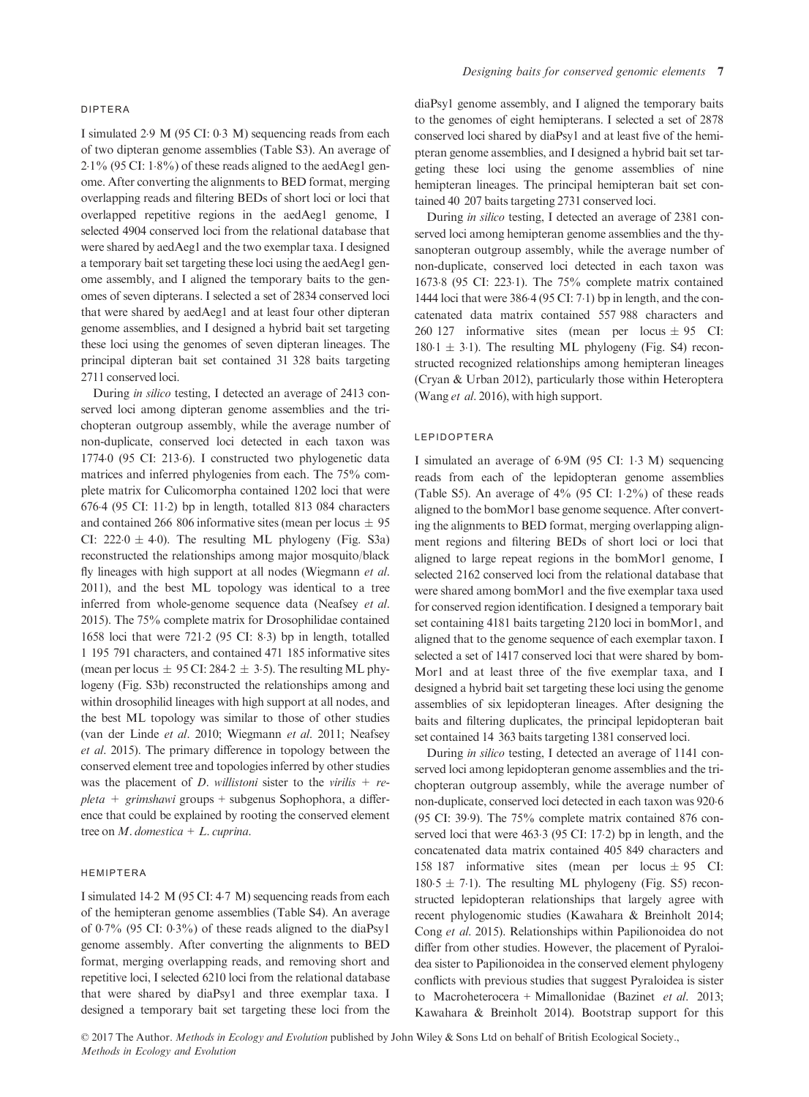#### DIPTERA

I simulated 29 M (95 CI: 03 M) sequencing reads from each of two dipteran genome assemblies (Table S3). An average of  $2.1\%$  (95 CI:  $1.8\%$ ) of these reads aligned to the aedAeg1 genome. After converting the alignments to BED format, merging overlapping reads and filtering BEDs of short loci or loci that overlapped repetitive regions in the aedAeg1 genome, I selected 4904 conserved loci from the relational database that were shared by aedAeg1 and the two exemplar taxa. I designed a temporary bait set targeting these loci using the aedAeg1 genome assembly, and I aligned the temporary baits to the genomes of seven dipterans. I selected a set of 2834 conserved loci that were shared by aedAeg1 and at least four other dipteran genome assemblies, and I designed a hybrid bait set targeting these loci using the genomes of seven dipteran lineages. The principal dipteran bait set contained 31 328 baits targeting 2711 conserved loci.

During in silico testing, I detected an average of 2413 conserved loci among dipteran genome assemblies and the trichopteran outgroup assembly, while the average number of non-duplicate, conserved loci detected in each taxon was 17740 (95 CI: 2136). I constructed two phylogenetic data matrices and inferred phylogenies from each. The 75% complete matrix for Culicomorpha contained 1202 loci that were 6764 (95 CI: 112) bp in length, totalled 813 084 characters and contained 266 806 informative sites (mean per locus  $\pm$  95 CI:  $222.0 \pm 4.0$ ). The resulting ML phylogeny (Fig. S3a) reconstructed the relationships among major mosquito/black fly lineages with high support at all nodes (Wiegmann et al. 2011), and the best ML topology was identical to a tree inferred from whole-genome sequence data (Neafsey et al. 2015). The 75% complete matrix for Drosophilidae contained 1658 loci that were 7212 (95 CI: 83) bp in length, totalled 1 195 791 characters, and contained 471 185 informative sites (mean per locus  $\pm$  95 CI: 284.2  $\pm$  3.5). The resulting ML phylogeny (Fig. S3b) reconstructed the relationships among and within drosophilid lineages with high support at all nodes, and the best ML topology was similar to those of other studies (van der Linde et al. 2010; Wiegmann et al. 2011; Neafsey et al. 2015). The primary difference in topology between the conserved element tree and topologies inferred by other studies was the placement of D. willistoni sister to the virilis  $+$  re $pleta + grimshawi$  groups + subgenus Sophophora, a difference that could be explained by rooting the conserved element tree on  $M$ . domestica +  $L$ . cuprina.

## HEMIPTERA

I simulated 142 M (95 CI: 47 M) sequencing reads from each of the hemipteran genome assemblies (Table S4). An average of  $0.7\%$  (95 CI:  $0.3\%$ ) of these reads aligned to the diaPsy1 genome assembly. After converting the alignments to BED format, merging overlapping reads, and removing short and repetitive loci, I selected 6210 loci from the relational database that were shared by diaPsy1 and three exemplar taxa. I designed a temporary bait set targeting these loci from the diaPsy1 genome assembly, and I aligned the temporary baits to the genomes of eight hemipterans. I selected a set of 2878 conserved loci shared by diaPsy1 and at least five of the hemipteran genome assemblies, and I designed a hybrid bait set targeting these loci using the genome assemblies of nine hemipteran lineages. The principal hemipteran bait set contained 40 207 baits targeting 2731 conserved loci.

During in silico testing, I detected an average of 2381 conserved loci among hemipteran genome assemblies and the thysanopteran outgroup assembly, while the average number of non-duplicate, conserved loci detected in each taxon was 16738 (95 CI: 2231). The 75% complete matrix contained 1444 loci that were 3864 (95 CI: 71) bp in length, and the concatenated data matrix contained 557 988 characters and 260 127 informative sites (mean per locus  $\pm$  95 CI:  $180.1 \pm 3.1$ ). The resulting ML phylogeny (Fig. S4) reconstructed recognized relationships among hemipteran lineages (Cryan & Urban 2012), particularly those within Heteroptera (Wang et al. 2016), with high support.

#### LEPIDOPTERA

I simulated an average of 69M (95 CI: 13 M) sequencing reads from each of the lepidopteran genome assemblies (Table S5). An average of  $4\%$  (95 CI:  $1.2\%$ ) of these reads aligned to the bomMor1 base genome sequence. After converting the alignments to BED format, merging overlapping alignment regions and filtering BEDs of short loci or loci that aligned to large repeat regions in the bomMor1 genome, I selected 2162 conserved loci from the relational database that were shared among bomMor1 and the five exemplar taxa used for conserved region identification. I designed a temporary bait set containing 4181 baits targeting 2120 loci in bomMor1, and aligned that to the genome sequence of each exemplar taxon. I selected a set of 1417 conserved loci that were shared by bom-Mor1 and at least three of the five exemplar taxa, and I designed a hybrid bait set targeting these loci using the genome assemblies of six lepidopteran lineages. After designing the baits and filtering duplicates, the principal lepidopteran bait set contained 14 363 baits targeting 1381 conserved loci.

During in silico testing, I detected an average of 1141 conserved loci among lepidopteran genome assemblies and the trichopteran outgroup assembly, while the average number of non-duplicate, conserved loci detected in each taxon was 920.6 (95 CI: 399). The 75% complete matrix contained 876 conserved loci that were 463.3 (95 CI: 17.2) bp in length, and the concatenated data matrix contained 405 849 characters and 158 187 informative sites (mean per locus  $\pm$  95 CI:  $180.5 \pm 7.1$ ). The resulting ML phylogeny (Fig. S5) reconstructed lepidopteran relationships that largely agree with recent phylogenomic studies (Kawahara & Breinholt 2014; Cong et al. 2015). Relationships within Papilionoidea do not differ from other studies. However, the placement of Pyraloidea sister to Papilionoidea in the conserved element phylogeny conflicts with previous studies that suggest Pyraloidea is sister to Macroheterocera + Mimallonidae (Bazinet et al. 2013; Kawahara & Breinholt 2014). Bootstrap support for this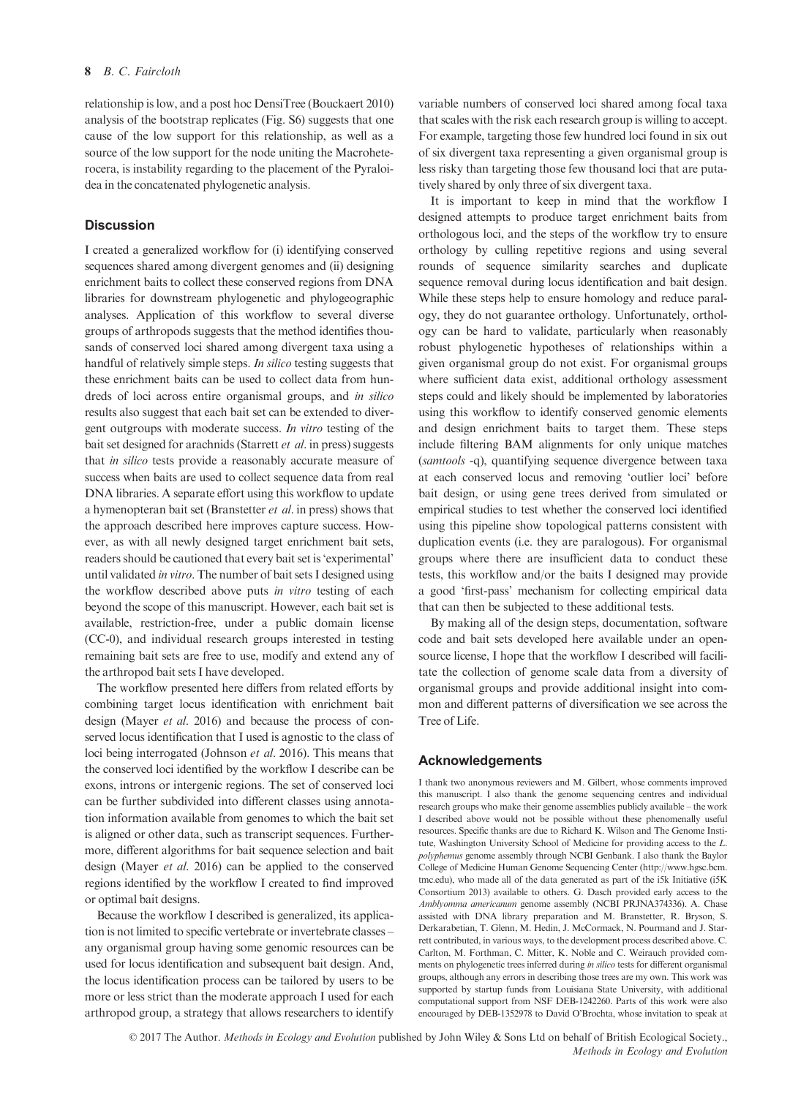relationship is low, and a post hoc DensiTree (Bouckaert 2010) analysis of the bootstrap replicates (Fig. S6) suggests that one cause of the low support for this relationship, as well as a source of the low support for the node uniting the Macroheterocera, is instability regarding to the placement of the Pyraloidea in the concatenated phylogenetic analysis.

# **Discussion**

I created a generalized workflow for (i) identifying conserved sequences shared among divergent genomes and (ii) designing enrichment baits to collect these conserved regions from DNA libraries for downstream phylogenetic and phylogeographic analyses. Application of this workflow to several diverse groups of arthropods suggests that the method identifies thousands of conserved loci shared among divergent taxa using a handful of relatively simple steps. In silico testing suggests that these enrichment baits can be used to collect data from hundreds of loci across entire organismal groups, and in silico results also suggest that each bait set can be extended to divergent outgroups with moderate success. In vitro testing of the bait set designed for arachnids (Starrett et al. in press) suggests that in silico tests provide a reasonably accurate measure of success when baits are used to collect sequence data from real DNA libraries. A separate effort using this workflow to update a hymenopteran bait set (Branstetter et al. in press) shows that the approach described here improves capture success. However, as with all newly designed target enrichment bait sets, readers should be cautioned that every bait set is 'experimental' until validated in vitro. The number of bait sets I designed using the workflow described above puts in vitro testing of each beyond the scope of this manuscript. However, each bait set is available, restriction-free, under a public domain license (CC-0), and individual research groups interested in testing remaining bait sets are free to use, modify and extend any of the arthropod bait sets I have developed.

The workflow presented here differs from related efforts by combining target locus identification with enrichment bait design (Mayer et al. 2016) and because the process of conserved locus identification that I used is agnostic to the class of loci being interrogated (Johnson et al. 2016). This means that the conserved loci identified by the workflow I describe can be exons, introns or intergenic regions. The set of conserved loci can be further subdivided into different classes using annotation information available from genomes to which the bait set is aligned or other data, such as transcript sequences. Furthermore, different algorithms for bait sequence selection and bait design (Mayer et al. 2016) can be applied to the conserved regions identified by the workflow I created to find improved or optimal bait designs.

Because the workflow I described is generalized, its application is not limited to specific vertebrate or invertebrate classes – any organismal group having some genomic resources can be used for locus identification and subsequent bait design. And, the locus identification process can be tailored by users to be more or less strict than the moderate approach I used for each arthropod group, a strategy that allows researchers to identify variable numbers of conserved loci shared among focal taxa that scales with the risk each research group is willing to accept. For example, targeting those few hundred loci found in six out of six divergent taxa representing a given organismal group is less risky than targeting those few thousand loci that are putatively shared by only three of six divergent taxa.

It is important to keep in mind that the workflow I designed attempts to produce target enrichment baits from orthologous loci, and the steps of the workflow try to ensure orthology by culling repetitive regions and using several rounds of sequence similarity searches and duplicate sequence removal during locus identification and bait design. While these steps help to ensure homology and reduce paralogy, they do not guarantee orthology. Unfortunately, orthology can be hard to validate, particularly when reasonably robust phylogenetic hypotheses of relationships within a given organismal group do not exist. For organismal groups where sufficient data exist, additional orthology assessment steps could and likely should be implemented by laboratories using this workflow to identify conserved genomic elements and design enrichment baits to target them. These steps include filtering BAM alignments for only unique matches (samtools -q), quantifying sequence divergence between taxa at each conserved locus and removing 'outlier loci' before bait design, or using gene trees derived from simulated or empirical studies to test whether the conserved loci identified using this pipeline show topological patterns consistent with duplication events (i.e. they are paralogous). For organismal groups where there are insufficient data to conduct these tests, this workflow and/or the baits I designed may provide a good 'first-pass' mechanism for collecting empirical data that can then be subjected to these additional tests.

By making all of the design steps, documentation, software code and bait sets developed here available under an opensource license, I hope that the workflow I described will facilitate the collection of genome scale data from a diversity of organismal groups and provide additional insight into common and different patterns of diversification we see across the Tree of Life.

## Acknowledgements

I thank two anonymous reviewers and M. Gilbert, whose comments improved this manuscript. I also thank the genome sequencing centres and individual research groups who make their genome assemblies publicly available – the work I described above would not be possible without these phenomenally useful resources. Specific thanks are due to Richard K. Wilson and The Genome Institute, Washington University School of Medicine for providing access to the L. polyphemus genome assembly through NCBI Genbank. I also thank the Baylor College of Medicine Human Genome Sequencing Center [\(http://www.hgsc.bcm.](http://www.hgsc.bcm.tmc.edu) [tmc.edu\)](http://www.hgsc.bcm.tmc.edu), who made all of the data generated as part of the i5k Initiative (i5K Consortium 2013) available to others. G. Dasch provided early access to the Amblyomma americanum genome assembly (NCBI PRJNA374336). A. Chase assisted with DNA library preparation and M. Branstetter, R. Bryson, S. Derkarabetian, T. Glenn, M. Hedin, J. McCormack, N. Pourmand and J. Starrett contributed, in various ways, to the development process described above. C. Carlton, M. Forthman, C. Mitter, K. Noble and C. Weirauch provided comments on phylogenetic trees inferred during in silico tests for different organismal groups, although any errors in describing those trees are my own. This work was supported by startup funds from Louisiana State University, with additional computational support from NSF DEB-1242260. Parts of this work were also encouraged by DEB-1352978 to David O'Brochta, whose invitation to speak at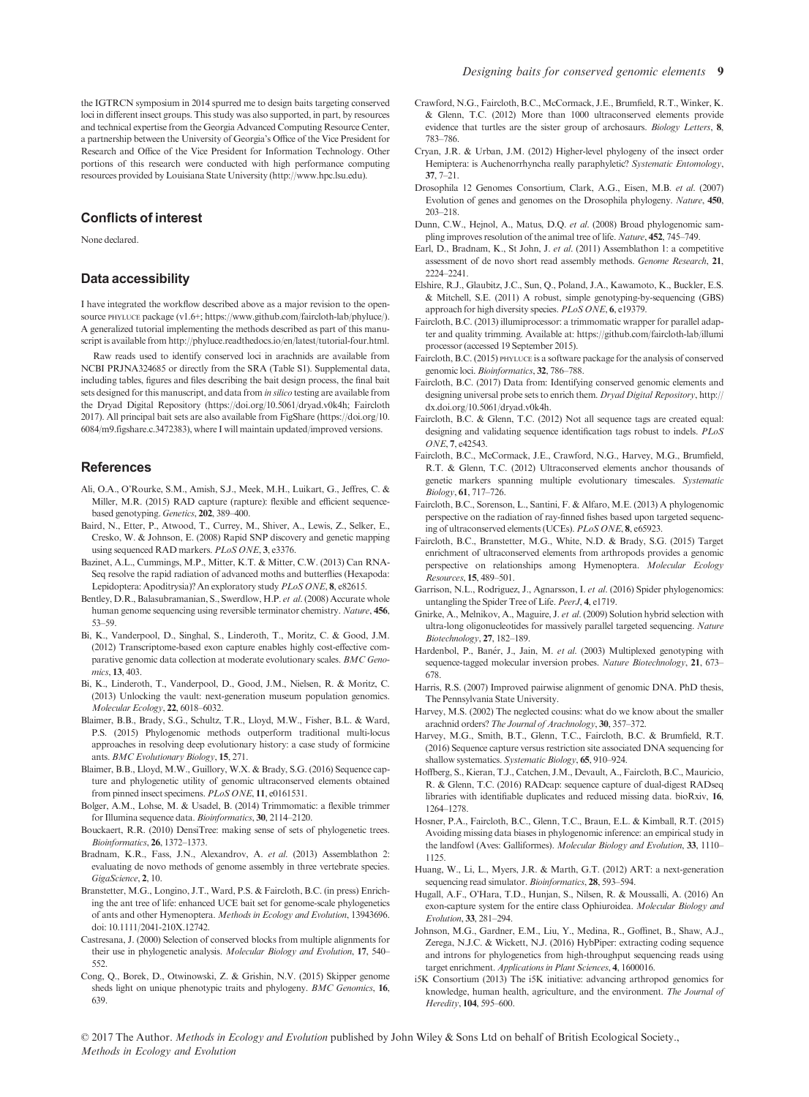the IGTRCN symposium in 2014 spurred me to design baits targeting conserved loci in different insect groups. This study was also supported, in part, by resources and technical expertise from the Georgia Advanced Computing Resource Center, a partnership between the University of Georgia's Office of the Vice President for Research and Office of the Vice President for Information Technology. Other portions of this research were conducted with high performance computing resources provided by Louisiana State University ([http://www.hpc.lsu.edu\)](http://www.hpc.lsu.edu).

## Conflicts of interest

None declared.

# Data accessibility

I have integrated the workflow described above as a major revision to the opensource PHYLUCE package (v1.6+;<https://www.github.com/faircloth-lab/phyluce/>). A generalized tutorial implementing the methods described as part of this manuscript is available from [http://phyluce.readthedocs.io/en/latest/tutorial-four.html.](http://phyluce.readthedocs.io/en/latest/tutorial-four.html)

Raw reads used to identify conserved loci in arachnids are available from NCBI PRJNA324685 or directly from the SRA (Table S1). Supplemental data, including tables, figures and files describing the bait design process, the final bait sets designed for this manuscript, and data from in silico testing are available from the Dryad Digital Repository [\(https://doi.org/10.5061/dryad.v0k4h;](https://doi.org/10.5061/dryad.v0k4h) Faircloth 2017). All principal bait sets are also available from FigShare ([https://doi.org/10.](https://doi.org/10.6084/m9.figshare.c.3472383) [6084/m9.figshare.c.3472383\)](https://doi.org/10.6084/m9.figshare.c.3472383), where I will maintain updated/improved versions.

#### References

- Ali, O.A., O'Rourke, S.M., Amish, S.J., Meek, M.H., Luikart, G., Jeffres, C. & Miller, M.R. (2015) RAD capture (rapture): flexible and efficient sequencebased genotyping. Genetics, 202, 389–400.
- Baird, N., Etter, P., Atwood, T., Currey, M., Shiver, A., Lewis, Z., Selker, E., Cresko, W. & Johnson, E. (2008) Rapid SNP discovery and genetic mapping using sequenced RAD markers. PLoS ONE, 3, e3376.
- Bazinet, A.L., Cummings, M.P., Mitter, K.T. & Mitter, C.W. (2013) Can RNA-Seq resolve the rapid radiation of advanced moths and butterflies (Hexapoda: Lepidoptera: Apoditrysia)? An exploratory study PLoS ONE, 8, e82615.
- Bentley, D.R., Balasubramanian, S., Swerdlow, H.P. et al. (2008) Accurate whole human genome sequencing using reversible terminator chemistry. Nature, 456, 53–59.
- Bi, K., Vanderpool, D., Singhal, S., Linderoth, T., Moritz, C. & Good, J.M. (2012) Transcriptome-based exon capture enables highly cost-effective comparative genomic data collection at moderate evolutionary scales. BMC Genomics, 13, 403.
- Bi, K., Linderoth, T., Vanderpool, D., Good, J.M., Nielsen, R. & Moritz, C. (2013) Unlocking the vault: next-generation museum population genomics. Molecular Ecology, 22, 6018–6032.
- Blaimer, B.B., Brady, S.G., Schultz, T.R., Lloyd, M.W., Fisher, B.L. & Ward, P.S. (2015) Phylogenomic methods outperform traditional multi-locus approaches in resolving deep evolutionary history: a case study of formicine ants. BMC Evolutionary Biology, 15, 271.
- Blaimer, B.B., Lloyd, M.W., Guillory, W.X. & Brady, S.G. (2016) Sequence capture and phylogenetic utility of genomic ultraconserved elements obtained from pinned insect specimens. PLoS ONE, 11, e0161531.
- Bolger, A.M., Lohse, M. & Usadel, B. (2014) Trimmomatic: a flexible trimmer for Illumina sequence data. Bioinformatics, 30, 2114–2120.
- Bouckaert, R.R. (2010) DensiTree: making sense of sets of phylogenetic trees. Bioinformatics, 26, 1372–1373.
- Bradnam, K.R., Fass, J.N., Alexandrov, A. et al. (2013) Assemblathon 2: evaluating de novo methods of genome assembly in three vertebrate species. GigaScience, 2, 10.
- Branstetter, M.G., Longino, J.T., Ward, P.S. & Faircloth, B.C. (in press) Enriching the ant tree of life: enhanced UCE bait set for genome-scale phylogenetics of ants and other Hymenoptera. Methods in Ecology and Evolution, 13943696. doi: [10.1111/2041-210X.12742.](https://doi.org/10.1111/2041-210X.12742)
- Castresana, J. (2000) Selection of conserved blocks from multiple alignments for their use in phylogenetic analysis. Molecular Biology and Evolution, 17, 540– 552.
- Cong, Q., Borek, D., Otwinowski, Z. & Grishin, N.V. (2015) Skipper genome sheds light on unique phenotypic traits and phylogeny. BMC Genomics, 16, 639.
- Crawford, N.G., Faircloth, B.C., McCormack, J.E., Brumfield, R.T., Winker, K. & Glenn, T.C. (2012) More than 1000 ultraconserved elements provide evidence that turtles are the sister group of archosaurs. Biology Letters, 8, 783–786.
- Cryan, J.R. & Urban, J.M. (2012) Higher-level phylogeny of the insect order Hemiptera: is Auchenorrhyncha really paraphyletic? Systematic Entomology, 37, 7–21.
- Drosophila 12 Genomes Consortium, Clark, A.G., Eisen, M.B. et al. (2007) Evolution of genes and genomes on the Drosophila phylogeny. Nature, 450, 203–218.
- Dunn, C.W., Hejnol, A., Matus, D.Q. et al. (2008) Broad phylogenomic sampling improves resolution of the animal tree of life. Nature, 452, 745–749.
- Earl, D., Bradnam, K., St John, J. et al. (2011) Assemblathon 1: a competitive assessment of de novo short read assembly methods. Genome Research, 21, 2224–2241.
- Elshire, R.J., Glaubitz, J.C., Sun, Q., Poland, J.A., Kawamoto, K., Buckler, E.S. & Mitchell, S.E. (2011) A robust, simple genotyping-by-sequencing (GBS) approach for high diversity species. PLoS ONE, 6, e19379.
- Faircloth, B.C. (2013) illumiprocessor: a trimmomatic wrapper for parallel adapter and quality trimming. Available at: [https://github.com/faircloth-lab/illumi](https://github.com/faircloth-lab/illumiprocessor) [processor](https://github.com/faircloth-lab/illumiprocessor) (accessed 19 September 2015).
- Faircloth, B.C. (2015) PHYLUCE is a software package for the analysis of conserved genomic loci. Bioinformatics, 32, 786–788.
- Faircloth, B.C. (2017) Data from: Identifying conserved genomic elements and designing universal probe sets to enrich them. Dryad Digital Repository, [http://](http://dx.doi.org/10.5061/dryad.v0k4h) [dx.doi.org/10.5061/dryad.v0k4h](http://dx.doi.org/10.5061/dryad.v0k4h).
- Faircloth, B.C. & Glenn, T.C. (2012) Not all sequence tags are created equal: designing and validating sequence identification tags robust to indels. PLoS ONE, 7, e42543.
- Faircloth, B.C., McCormack, J.E., Crawford, N.G., Harvey, M.G., Brumfield, R.T. & Glenn, T.C. (2012) Ultraconserved elements anchor thousands of genetic markers spanning multiple evolutionary timescales. Systematic Biology, 61, 717–726.
- Faircloth, B.C., Sorenson, L., Santini, F. & Alfaro, M.E. (2013) A phylogenomic perspective on the radiation of ray-finned fishes based upon targeted sequencing of ultraconserved elements (UCEs). PLoS ONE, 8, e65923.
- Faircloth, B.C., Branstetter, M.G., White, N.D. & Brady, S.G. (2015) Target enrichment of ultraconserved elements from arthropods provides a genomic perspective on relationships among Hymenoptera. Molecular Ecology Resources, 15, 489–501.
- Garrison, N.L., Rodriguez, J., Agnarsson, I. et al. (2016) Spider phylogenomics: untangling the Spider Tree of Life. PeerJ, 4, e1719.
- Gnirke, A., Melnikov, A., Maguire, J. et al. (2009) Solution hybrid selection with ultra-long oligonucleotides for massively parallel targeted sequencing. Nature Biotechnology, 27, 182–189.
- Hardenbol, P., Banér, J., Jain, M. et al. (2003) Multiplexed genotyping with sequence-tagged molecular inversion probes. Nature Biotechnology, 21, 673– 678.
- Harris, R.S. (2007) Improved pairwise alignment of genomic DNA. PhD thesis, The Pennsylvania State University.
- Harvey, M.S. (2002) The neglected cousins: what do we know about the smaller arachnid orders? The Journal of Arachnology, 30, 357–372.
- Harvey, M.G., Smith, B.T., Glenn, T.C., Faircloth, B.C. & Brumfield, R.T. (2016) Sequence capture versus restriction site associated DNA sequencing for shallow systematics. Systematic Biology, 65, 910-924.
- Hoffberg, S., Kieran, T.J., Catchen, J.M., Devault, A., Faircloth, B.C., Mauricio, R. & Glenn, T.C. (2016) RADcap: sequence capture of dual-digest RADseq libraries with identifiable duplicates and reduced missing data. bioRxiv, <sup>16</sup>, 1264–1278.
- Hosner, P.A., Faircloth, B.C., Glenn, T.C., Braun, E.L. & Kimball, R.T. (2015) Avoiding missing data biases in phylogenomic inference: an empirical study in the landfowl (Aves: Galliformes). Molecular Biology and Evolution, 33, 1110– 1125.
- Huang, W., Li, L., Myers, J.R. & Marth, G.T. (2012) ART: a next-generation sequencing read simulator. Bioinformatics, 28, 593-594.
- Hugall, A.F., O'Hara, T.D., Hunjan, S., Nilsen, R. & Moussalli, A. (2016) An exon-capture system for the entire class Ophiuroidea. Molecular Biology and Evolution, 33, 281–294.
- Johnson, M.G., Gardner, E.M., Liu, Y., Medina, R., Goffinet, B., Shaw, A.J., Zerega, N.J.C. & Wickett, N.J. (2016) HybPiper: extracting coding sequence and introns for phylogenetics from high-throughput sequencing reads using target enrichment. Applications in Plant Sciences, 4, 1600016.
- i5K Consortium (2013) The i5K initiative: advancing arthropod genomics for knowledge, human health, agriculture, and the environment. The Journal of Heredity, 104, 595–600.